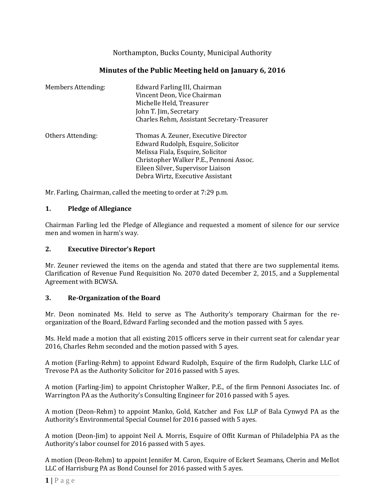Northampton, Bucks County, Municipal Authority

# **Minutes of the Public Meeting held on January 6, 2016**

| <b>Members Attending:</b> | Edward Farling III, Chairman<br>Vincent Deon, Vice Chairman<br>Michelle Held, Treasurer<br>John T. Jim, Secretary<br>Charles Rehm, Assistant Secretary-Treasurer                                                                    |
|---------------------------|-------------------------------------------------------------------------------------------------------------------------------------------------------------------------------------------------------------------------------------|
| Others Attending:         | Thomas A. Zeuner, Executive Director<br>Edward Rudolph, Esquire, Solicitor<br>Melissa Fiala, Esquire, Solicitor<br>Christopher Walker P.E., Pennoni Assoc.<br>Eileen Silver, Supervisor Liaison<br>Debra Wirtz, Executive Assistant |

Mr. Farling, Chairman, called the meeting to order at 7:29 p.m.

#### **1. Pledge of Allegiance**

Chairman Farling led the Pledge of Allegiance and requested a moment of silence for our service men and women in harm's way.

#### **2. Executive Director's Report**

Mr. Zeuner reviewed the items on the agenda and stated that there are two supplemental items. Clarification of Revenue Fund Requisition No. 2070 dated December 2, 2015, and a Supplemental Agreement with BCWSA.

#### **3. Re-Organization of the Board**

Mr. Deon nominated Ms. Held to serve as The Authority's temporary Chairman for the reorganization of the Board, Edward Farling seconded and the motion passed with 5 ayes.

Ms. Held made a motion that all existing 2015 officers serve in their current seat for calendar year 2016, Charles Rehm seconded and the motion passed with 5 ayes.

A motion (Farling-Rehm) to appoint Edward Rudolph, Esquire of the firm Rudolph, Clarke LLC of Trevose PA as the Authority Solicitor for 2016 passed with 5 ayes.

A motion (Farling-Jim) to appoint Christopher Walker, P.E., of the firm Pennoni Associates Inc. of Warrington PA as the Authority's Consulting Engineer for 2016 passed with 5 ayes.

A motion (Deon-Rehm) to appoint Manko, Gold, Katcher and Fox LLP of Bala Cynwyd PA as the Authority's Environmental Special Counsel for 2016 passed with 5 ayes.

A motion (Deon-Jim) to appoint Neil A. Morris, Esquire of Offit Kurman of Philadelphia PA as the Authority's labor counsel for 2016 passed with 5 ayes.

A motion (Deon-Rehm) to appoint Jennifer M. Caron, Esquire of Eckert Seamans, Cherin and Mellot LLC of Harrisburg PA as Bond Counsel for 2016 passed with 5 ayes.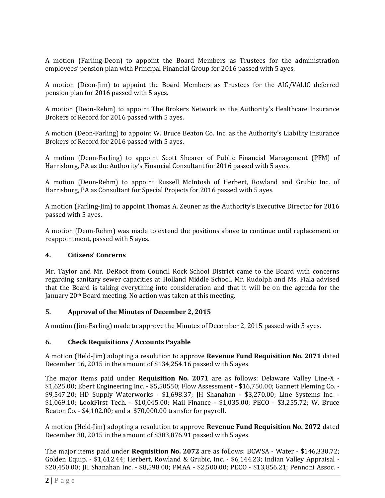A motion (Farling-Deon) to appoint the Board Members as Trustees for the administration employees' pension plan with Principal Financial Group for 2016 passed with 5 ayes.

A motion (Deon-Jim) to appoint the Board Members as Trustees for the AIG/VALIC deferred pension plan for 2016 passed with 5 ayes.

A motion (Deon-Rehm) to appoint The Brokers Network as the Authority's Healthcare Insurance Brokers of Record for 2016 passed with 5 ayes.

A motion (Deon-Farling) to appoint W. Bruce Beaton Co. Inc. as the Authority's Liability Insurance Brokers of Record for 2016 passed with 5 ayes.

A motion (Deon-Farling) to appoint Scott Shearer of Public Financial Management (PFM) of Harrisburg, PA as the Authority's Financial Consultant for 2016 passed with 5 ayes.

A motion (Deon-Rehm) to appoint Russell McIntosh of Herbert, Rowland and Grubic Inc. of Harrisburg, PA as Consultant for Special Projects for 2016 passed with 5 ayes.

A motion (Farling-Jim) to appoint Thomas A. Zeuner as the Authority's Executive Director for 2016 passed with 5 ayes.

A motion (Deon-Rehm) was made to extend the positions above to continue until replacement or reappointment, passed with 5 ayes.

# **4. Citizens' Concerns**

Mr. Taylor and Mr. DeRoot from Council Rock School District came to the Board with concerns regarding sanitary sewer capacities at Holland Middle School. Mr. Rudolph and Ms. Fiala advised that the Board is taking everything into consideration and that it will be on the agenda for the January 20th Board meeting. No action was taken at this meeting.

# **5. Approval of the Minutes of December 2, 2015**

A motion (Jim-Farling) made to approve the Minutes of December 2, 2015 passed with 5 ayes.

# **6. Check Requisitions / Accounts Payable**

A motion (Held-Jim) adopting a resolution to approve **Revenue Fund Requisition No. 2071** dated December 16, 2015 in the amount of \$134,254.16 passed with 5 ayes.

The major items paid under **Requisition No. 2071** are as follows: Delaware Valley Line-X - \$1,625.00; Ebert Engineering Inc. - \$5,50550; Flow Assessment - \$16,750.00; Gannett Fleming Co. - \$9,547.20; HD Supply Waterworks - \$1,698.37; JH Shanahan - \$3,270.00; Line Systems Inc. - \$1,069.10; LookFirst Tech. - \$10,045.00; Mail Finance - \$1,035.00; PECO - \$3,255.72; W. Bruce Beaton Co. - \$4,102.00; and a \$70,000.00 transfer for payroll.

A motion (Held-Jim) adopting a resolution to approve **Revenue Fund Requisition No. 2072** dated December 30, 2015 in the amount of \$383,876.91 passed with 5 ayes.

The major items paid under **Requisition No. 2072** are as follows: BCWSA - Water - \$146,330.72; Golden Equip. - \$1,612.44; Herbert, Rowland & Grubic, Inc. - \$6,144.23; Indian Valley Appraisal - \$20,450.00; JH Shanahan Inc. - \$8,598.00; PMAA - \$2,500.00; PECO - \$13,856.21; Pennoni Assoc. -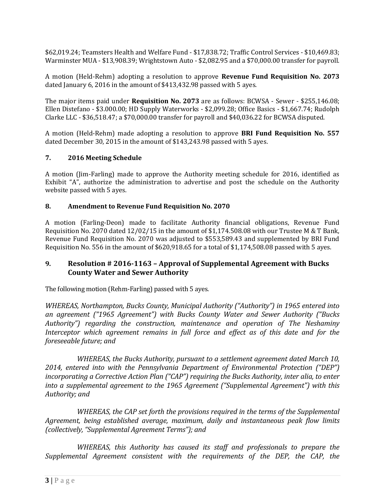\$62,019.24; Teamsters Health and Welfare Fund - \$17,838.72; Traffic Control Services - \$10,469.83; Warminster MUA - \$13,908.39; Wrightstown Auto - \$2,082.95 and a \$70,000.00 transfer for payroll.

A motion (Held-Rehm) adopting a resolution to approve **Revenue Fund Requisition No. 2073** dated January 6, 2016 in the amount of \$413,432.98 passed with 5 ayes.

The major items paid under **Requisition No. 2073** are as follows: BCWSA - Sewer - \$255,146.08; Ellen Distefano - \$3.000.00; HD Supply Waterworks - \$2,099.28; Office Basics - \$1,667.74; Rudolph Clarke LLC - \$36,518.47; a \$70,000.00 transfer for payroll and \$40,036.22 for BCWSA disputed.

A motion (Held-Rehm) made adopting a resolution to approve **BRI Fund Requisition No. 557** dated December 30, 2015 in the amount of \$143,243.98 passed with 5 ayes.

# **7. 2016 Meeting Schedule**

A motion (Jim-Farling) made to approve the Authority meeting schedule for 2016, identified as Exhibit "A", authorize the administration to advertise and post the schedule on the Authority website passed with 5 ayes.

#### **8. Amendment to Revenue Fund Requisition No. 2070**

A motion (Farling-Deon) made to facilitate Authority financial obligations, Revenue Fund Requisition No. 2070 dated 12/02/15 in the amount of \$1,174.508.08 with our Trustee M & T Bank, Revenue Fund Requisition No. 2070 was adjusted to \$553,589.43 and supplemented by BRI Fund Requisition No. 556 in the amount of \$620,918.65 for a total of \$1,174,508.08 passed with 5 ayes.

# **9. Resolution # 2016-1163 – Approval of Supplemental Agreement with Bucks County Water and Sewer Authority**

The following motion (Rehm-Farling) passed with 5 ayes.

*WHEREAS, Northampton, Bucks County, Municipal Authority ("Authority") in 1965 entered into an agreement ("1965 Agreement") with Bucks County Water and Sewer Authority ("Bucks Authority") regarding the construction, maintenance and operation of The Neshaminy Interceptor which agreement remains in full force and effect as of this date and for the foreseeable future; and*

*WHEREAS, the Bucks Authority, pursuant to a settlement agreement dated March 10, 2014, entered into with the Pennsylvania Department of Environmental Protection ("DEP") incorporating a Corrective Action Plan ("CAP") requiring the Bucks Authority, inter alia, to enter into a supplemental agreement to the 1965 Agreement ("Supplemental Agreement") with this Authority; and* 

*WHEREAS, the CAP set forth the provisions required in the terms of the Supplemental Agreement, being established average, maximum, daily and instantaneous peak flow limits (collectively, "Supplemental Agreement Terms"); and*

*WHEREAS, this Authority has caused its staff and professionals to prepare the Supplemental Agreement consistent with the requirements of the DEP, the CAP, the*